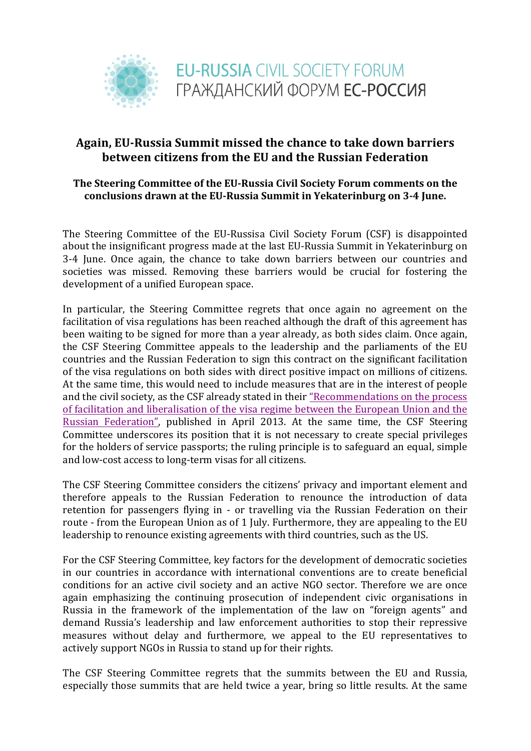

## Again, EU-Russia Summit missed the chance to take down barriers **between citizens from the EU and the Russian Federation**

## The Steering Committee of the EU-Russia Civil Society Forum comments on the conclusions drawn at the EU-Russia Summit in Yekaterinburg on 3-4 June.

The Steering Committee of the EU-Russisa Civil Society Forum (CSF) is disappointed about the insignificant progress made at the last EU-Russia Summit in Yekaterinburg on 3-4 June. Once again, the chance to take down barriers between our countries and societies was missed. Removing these barriers would be crucial for fostering the development of a unified European space.

In particular, the Steering Committee regrets that once again no agreement on the facilitation of visa regulations has been reached although the draft of this agreement has been waiting to be signed for more than a year already, as both sides claim. Once again, the CSF Steering Committee appeals to the leadership and the parliaments of the EU countries and the Russian Federation to sign this contract on the significant facilitation of the visa regulations on both sides with direct positive impact on millions of citizens. At the same time, this would need to include measures that are in the interest of people and the civil society, as the CSF already stated in their "Recommendations on the process" of facilitation and liberalisation of the visa regime between the European Union and the Russian Federation", published in April 2013. At the same time, the CSF Steering Committee underscores its position that it is not necessary to create special privileges for the holders of service passports; the ruling principle is to safeguard an equal, simple and low-cost access to long-term visas for all citizens.

The CSF Steering Committee considers the citizens' privacy and important element and therefore appeals to the Russian Federation to renounce the introduction of data retention for passengers flying in - or travelling via the Russian Federation on their route - from the European Union as of 1 July. Furthermore, they are appealing to the EU leadership to renounce existing agreements with third countries, such as the US.

For the CSF Steering Committee, key factors for the development of democratic societies in our countries in accordance with international conventions are to create beneficial conditions for an active civil society and an active NGO sector. Therefore we are once again emphasizing the continuing prosecution of independent civic organisations in Russia in the framework of the implementation of the law on "foreign agents" and demand Russia's leadership and law enforcement authorities to stop their repressive measures without delay and furthermore, we appeal to the EU representatives to actively support NGOs in Russia to stand up for their rights.

The CSF Steering Committee regrets that the summits between the EU and Russia, especially those summits that are held twice a year, bring so little results. At the same